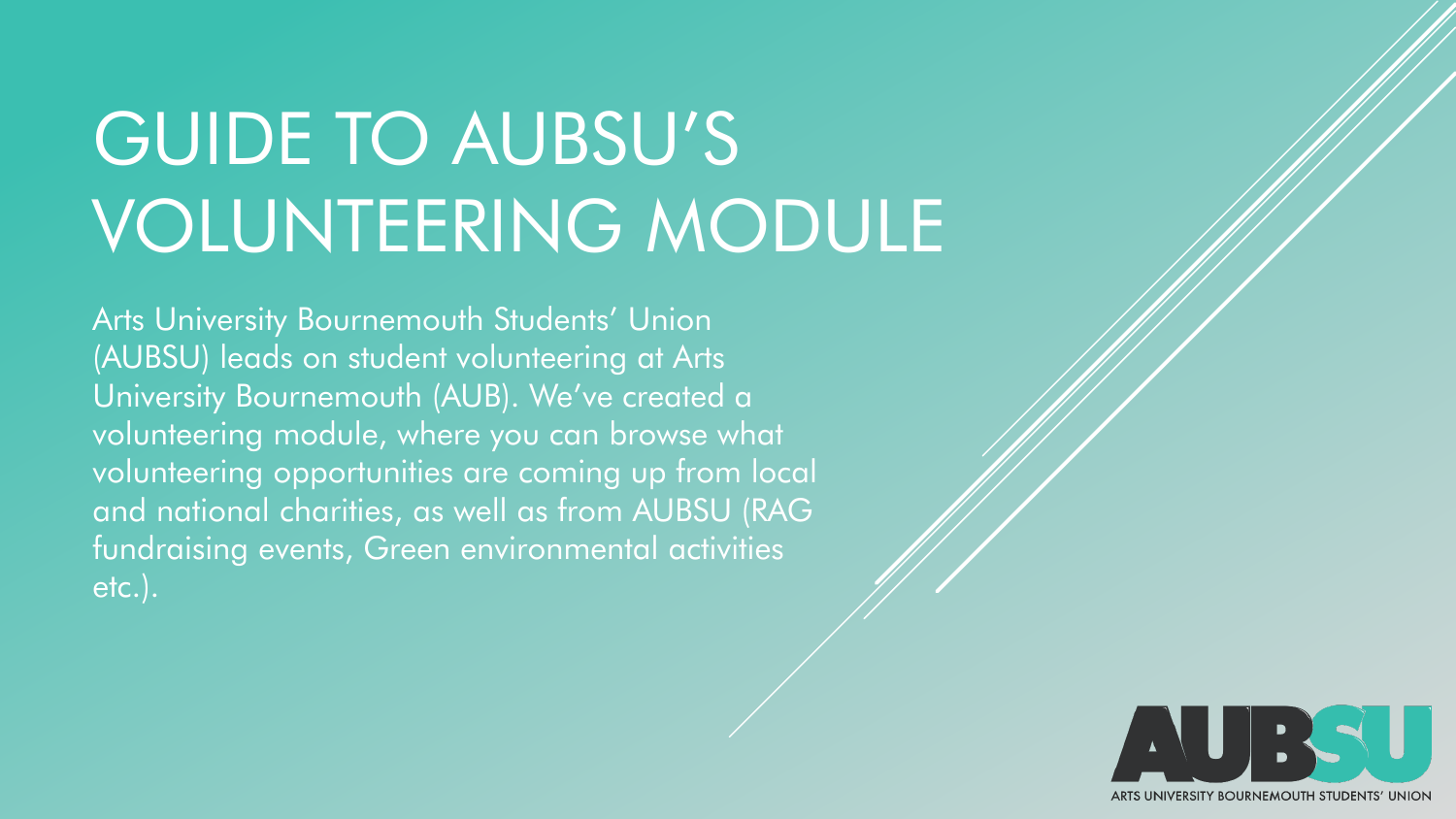# GUIDE TO AUBSU'S VOLUNTEERING MODULE

Arts University Bournemouth Students' Union (AUBSU) leads on student volunteering at Arts University Bournemouth (AUB). We've created a volunteering module, where you can browse what volunteering opportunities are coming up from local and national charities, as well as from AUBSU (RAG fundraising events, Green environmental activities etc.).

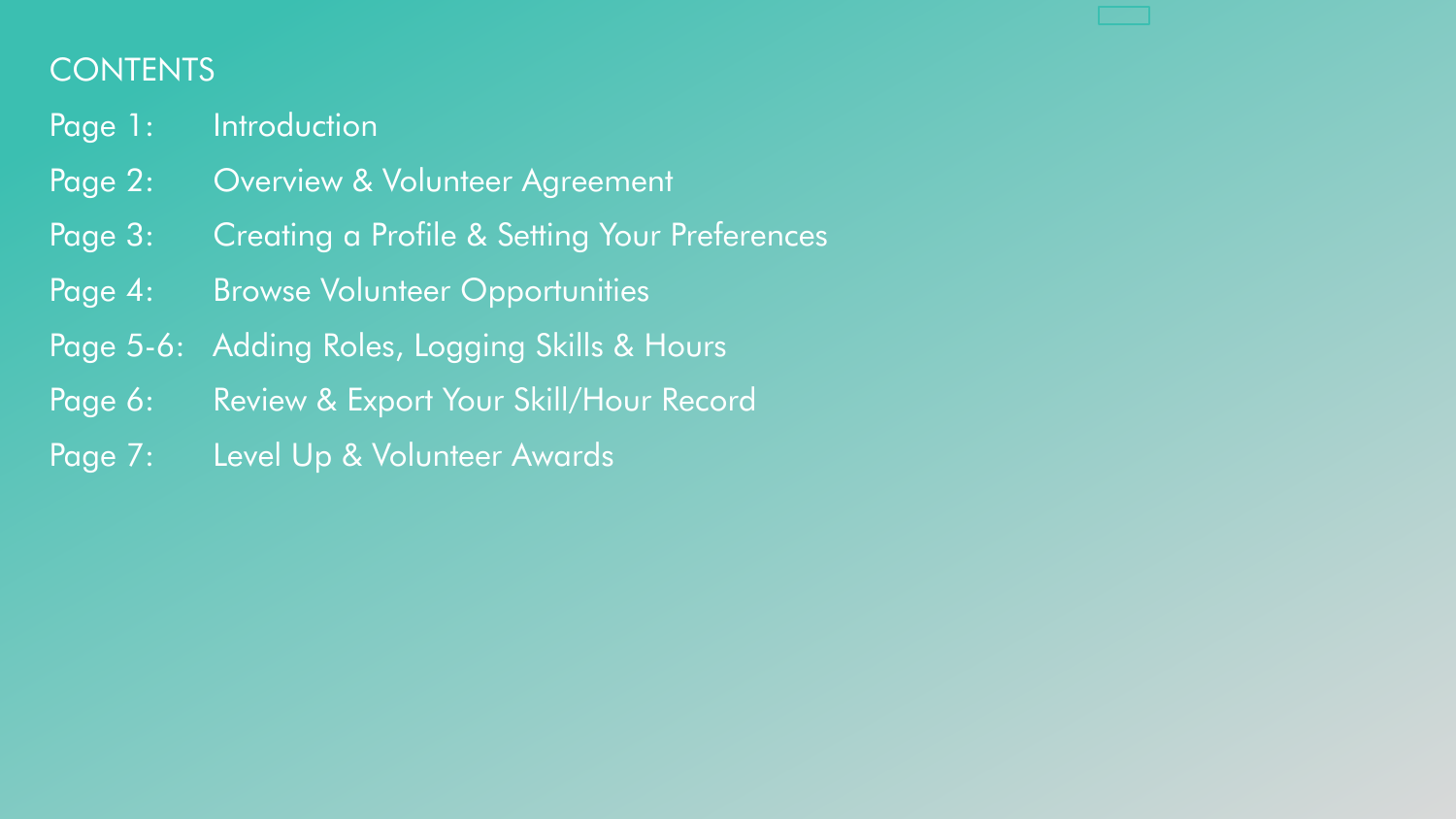# **CONTENTS**

- Page 1: Introduction
- Page 2: Overview & Volunteer Agreement
- Page 3: Creating a Profile & Setting Your Preferences
- Page 4: Browse Volunteer Opportunities
- Page 5-6: Adding Roles, Logging Skills & Hours
- Page 6: Review & Export Your Skill/Hour Record
- Page 7: Level Up & Volunteer Awards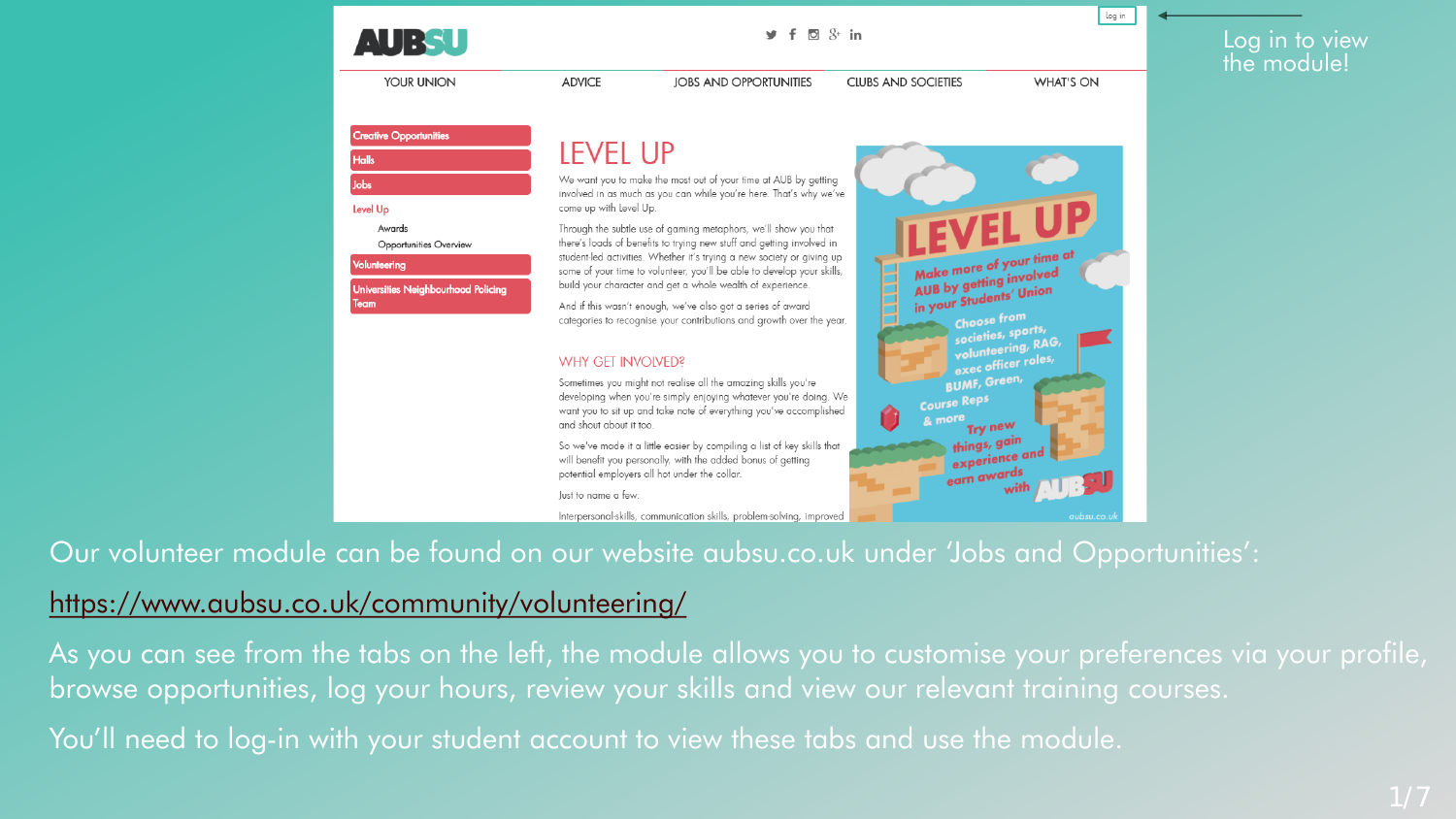

YOUR UNION

Ŀ G

 $\mathbf{1}$ 

**CIUBS AND SOCIETIES** 



log in

**WHAT'S ON** 

| reative Opportunities                             |                                                                                                                                                                                                                                                                                                             |  |  |  |  |
|---------------------------------------------------|-------------------------------------------------------------------------------------------------------------------------------------------------------------------------------------------------------------------------------------------------------------------------------------------------------------|--|--|--|--|
| alls                                              | <b>LEVEL UP</b>                                                                                                                                                                                                                                                                                             |  |  |  |  |
| bs.                                               | We want you to make the most out of your time at AUB by getting<br>involved in as much as you can while you're here. That's why we've                                                                                                                                                                       |  |  |  |  |
| evel Up                                           | come up with Level Up.                                                                                                                                                                                                                                                                                      |  |  |  |  |
| Awards<br>Opportunities Overview                  | LEVEL UP<br>Through the subtle use of gaming metaphors, we'll show you that<br>there's loads of benefits to trying new stuff and getting involved in                                                                                                                                                        |  |  |  |  |
| olunteering<br>niversities Neighbourhood Policing | Make more of your time at<br>student-led activities. Whether it's trying a new society or giving up<br>some of your time to volunteer, you'll be able to develop your skills,<br>AUB by getting involved<br>build your character and get a whole wealth of experience.                                      |  |  |  |  |
| eam                                               | in your Students' Union<br>And if this wasn't enough, we've also got a series of award<br><b>Choose from</b><br>categories to recognise your contributions and growth over the year.<br>societies, sports,                                                                                                  |  |  |  |  |
|                                                   | volunteering, RAG,<br>exec officer roles,<br><b>WHY GET INVOIVED?</b>                                                                                                                                                                                                                                       |  |  |  |  |
|                                                   | <b>BUMF, Green,</b><br>Sometimes you might not realise all the amazing skills you're<br>developing when you're simply enjoying whatever you're doing. We<br><b>Course Reps</b><br>want you to sit up and take note of everything you've accomplished<br>& more<br>and shout about it too.<br><b>Try new</b> |  |  |  |  |
|                                                   | things, gain<br>So we've made it a little easier by compiling a list of key skills that<br>experience and<br>will benefit you personally, with the added bonus of getting<br>earn awards<br>potential employers all hot under the collar.                                                                   |  |  |  |  |
|                                                   | with<br>lust to name a few:                                                                                                                                                                                                                                                                                 |  |  |  |  |
|                                                   | Interpersonal-skills, communication skills, problem-solving, improved<br>aubsu.co.ul                                                                                                                                                                                                                        |  |  |  |  |

**JOBS AND OPPORTUNITIES** 

Our volunteer module can be found on our website aubsu.co.uk under 'Jobs and Opportunities':

# <https://www.aubsu.co.uk/community/volunteering/>

As you can see from the tabs on the left, the module allows you to customise your preferences via your profile, browse opportunities, log your hours, review your skills and view our relevant training courses.

You'll need to log-in with your student account to view these tabs and use the module.

**ADVICE**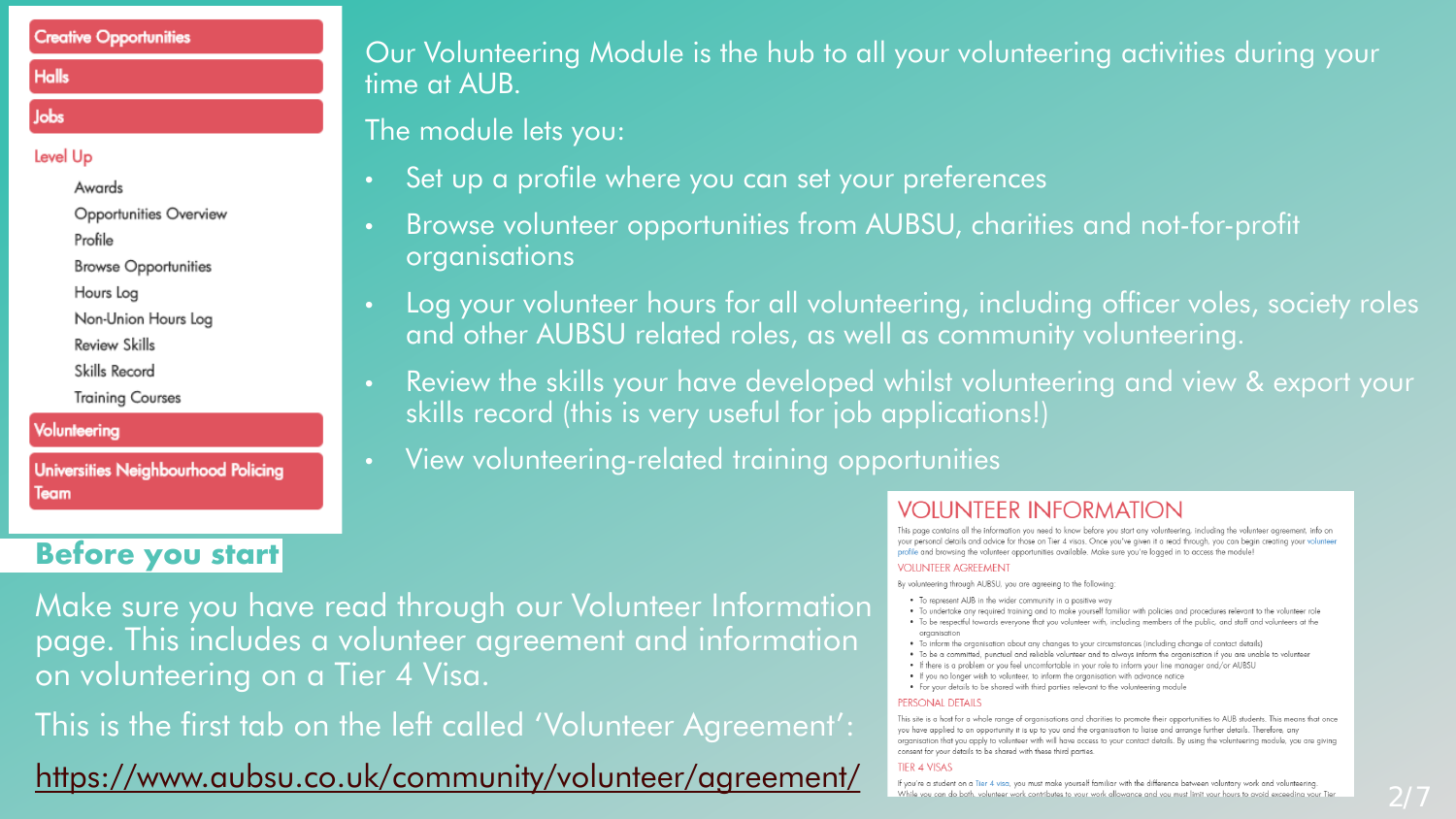#### **Creative Opportunities**

#### **Halls**

#### Jobs

#### Level Up

Awards

Opportunities Overview

Profile

**Browse Opportunities** 

Hours Loa

Non-Union Hours Log

**Review Skills** 

Skills Record

**Training Courses** 

#### Volunteering

**Universities Neighbourhood Policing** Team

# **Before you start**

Our Volunteering Module is the hub to all your volunteering activities during your time at AUB.

The module lets you:

- Set up a profile where you can set your preferences
- Browse volunteer opportunities from AUBSU, charities and not-for-profit organisations
- Log your volunteer hours for all volunteering, including officer voles, society roles and other AUBSU related roles, as well as community volunteering.
- Review the skills your have developed whilst volunteering and view & export your skills record (this is very useful for job applications!)
- View volunteering-related training opportunities

Make sure you have read through our Volunteer Information page. This includes a volunteer agreement and information on volunteering on a Tier 4 Visa.

This is the first tab on the left called 'Volunteer Agreement':

<https://www.aubsu.co.uk/community/volunteer/agreement/>

## **VOIUNTEER INFORMATION**

This page contains all the information you need to know before you start any volunteering, including the volunteer agreement, info on your personal details and advice for those on Tier 4 visas. Once you've aiven it a read through, you can begin creating your volunteer profile and browsing the volunteer opportunities available. Make sure you're logged in to access the module!

#### **VOLUNTEER AGREEMENT**

By volunteering through AUBSU, you are agreeing to the following:

- . To represent AUB in the wider community in a positive way
- To undertake any required training and to make yourself familiar with policies and procedures relevant to the volunteer role
- To be respectful towards everyone that you volunteer with, including members of the public, and staff and volunteers at the organisation
- To inform the organisation about any changes to your circumstances (including change of contact details)
- To be a committed, punctual and reliable volunteer and to always inform the organisation if you are unable to volunteer . If there is a problem or you feel uncomfortable in your role to inform your line manager and/or AUBSU
- If you no longer wish to volunteer, to inform the organisation with advance notice
- For your details to be shared with third parties relevant to the volunteering module

#### **PERSONAL DETAILS**

This site is a host for a whole range of organisations and charities to promote their opportunities to AUB students. This means that once you have applied to an opportunity it is up to you and the organisation to liaise and arrange further details. Therefore, any organisation that you apply to volunteer with will have access to your contact details. By using the volunteering module, you are giving consent for your details to be shared with these third parties.

#### **TIER 4 VISAS**

If you're a student on a Tier 4 visa, you must make yourself familiar with the difference between voluntary work and volunteering While vou can do both, volunteer work contributes to vour work allowance and vou must limit vour hours to avoid exceedina vour Tier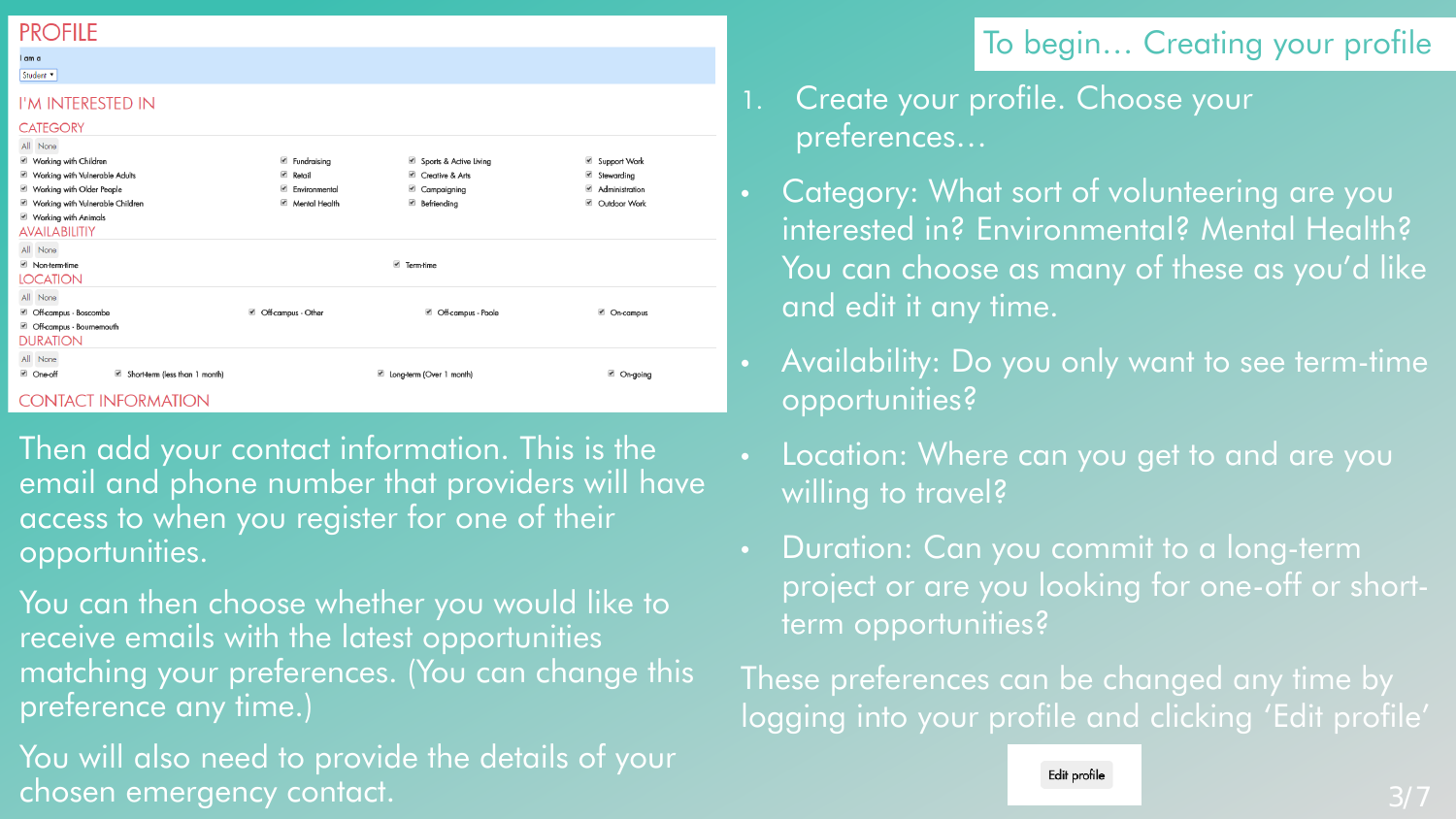## **PROFILE**

#### l am a Student<sup>v</sup>

#### I'M INTERESTED IN

#### **CATEGORY** All None Working with Children **E** Fundraising Sports & Active Living Support Work Vorking with Vulnerable Adults **■** Retail Creative & Arts Stewarding Working with Older People **Environmental** Campaigning Administration Working with Vulnerable Children Mental Health Befriending ■ Outdoor Work Working with Animals **AVAILABILITIY** All None Non-term-time ■ Term-time **LOCATION** All None ■ Off-campus - Boscombe ■ Off-campus - Other Cn-campus CH-campus - Poole Off-campus - Bournemouth **DURATION** All None ■ One-off Short-term (less than 1 month) cong-term (Over 1 month) ■ On-going

#### **CONTACT INFORMATION**

- Then add your contact information. This is the email and phone number that providers will have access to when you register for one of their opportunities.
- You can then choose whether you would like to receive emails with the latest opportunities matching your preferences. (You can change this preference any time.)
- You will also need to provide the details of your chosen emergency contact.

# To begin… Creating your profile

- 1. Create your profile. Choose your preferences…
- Category: What sort of volunteering are you interested in? Environmental? Mental Health? You can choose as many of these as you'd like and edit it any time.
- Availability: Do you only want to see term-time opportunities?
- Location: Where can you get to and are you willing to travel?
- Duration: Can you commit to a long-term project or are you looking for one-off or shortterm opportunities?

These preferences can be changed any time by logging into your profile and clicking 'Edit profile'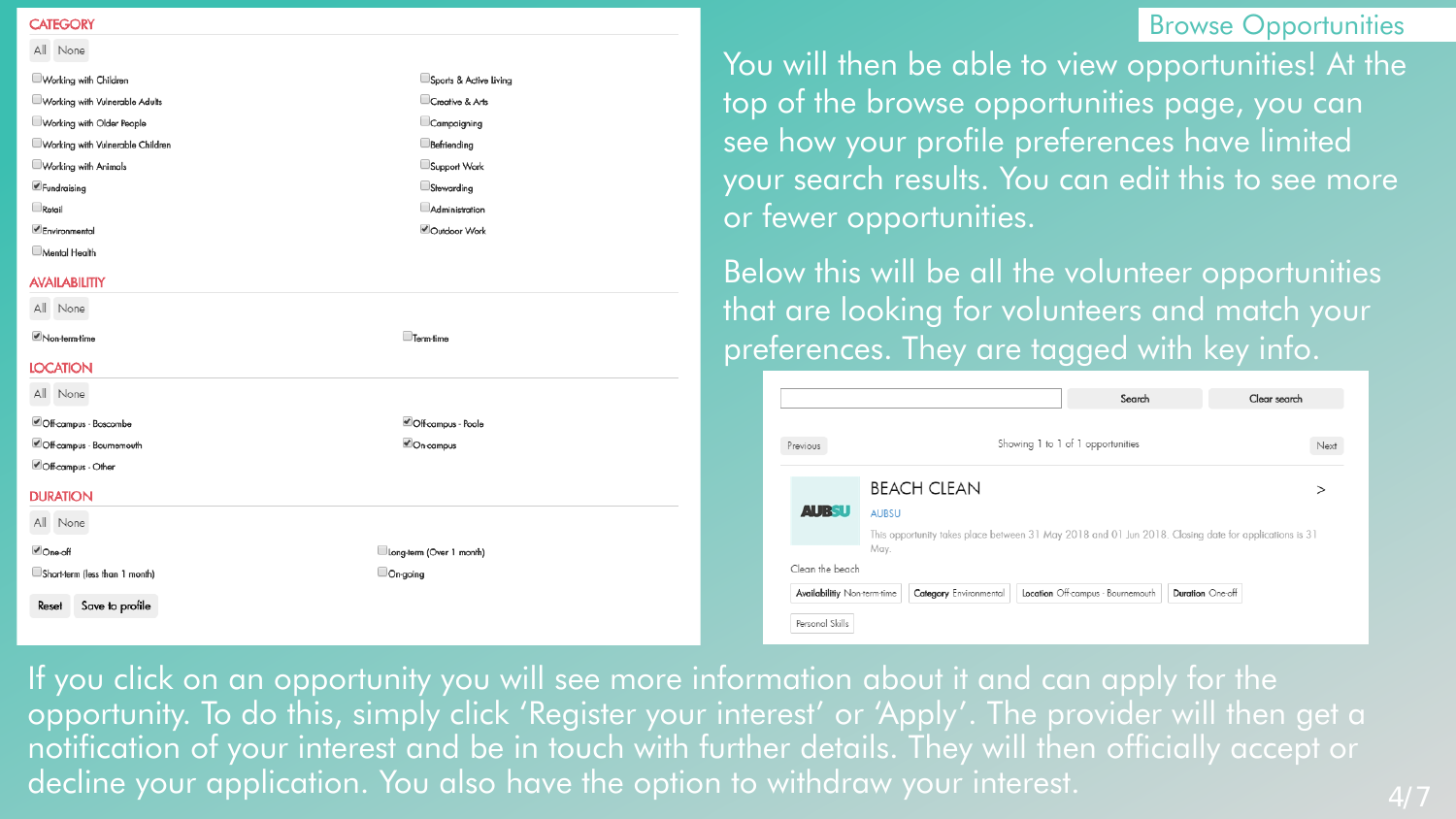#### **CATEGORY**

| All None                         |                        |
|----------------------------------|------------------------|
| Working with Children            | Sports & Active Living |
| Working with Vulnerable Adults   | Creative & Arts        |
| Working with Older People        | Campaigning            |
| Working with Vulnerable Children | Befriending            |
| Working with Animals             | Support Work           |
| $\blacktriangle$ Fundraising     | Stewarding             |
| Retail                           | Administration         |
| Environmental                    | Outdoor Work           |
| Montal Hoalth                    |                        |

#### **AVAILABILITIY**

| All None                 |                    |
|--------------------------|--------------------|
| Non-term-time            | Term-time          |
| <b>LOCATION</b>          |                    |
| All None                 |                    |
| Off-campus - Boscombe    | Off-campus - Poole |
| Cff-campus - Bournemouth | <b>√</b> On-campus |
| Off-campus - Other       |                    |
| <b>DURATION</b>          |                    |

All None

**D**ne-oft

Short-term (less than 1 month)

Reset Save to profile

Long-term (Over 1 month) On-going

Browse Opportunities

You will then be able to view opportunities! At the top of the browse opportunities page, you can see how your profile preferences have limited your search results. You can edit this to see more or fewer opportunities.

Below this will be all the volunteer opportunities that are looking for volunteers and match your preferences. They are tagged with key info.

| Previous                    |                        | Showing 1 to 1 of 1 opportunities                                                                     |                  | Next |
|-----------------------------|------------------------|-------------------------------------------------------------------------------------------------------|------------------|------|
|                             | <b>BEACH CLEAN</b>     |                                                                                                       |                  |      |
| <b>AUBSU</b>                | <b>AUBSU</b>           |                                                                                                       |                  |      |
|                             | May.                   | This opportunity takes place between 31 May 2018 and 01 Jun 2018. Closing date for applications is 31 |                  |      |
| Clean the beach             |                        |                                                                                                       |                  |      |
| Availabilitiy Non-term-time | Category Environmental | Location Off-campus - Bournemouth                                                                     | Duration One-off |      |

If you click on an opportunity you will see more information about it and can apply for the opportunity. To do this, simply click 'Register your interest' or 'Apply'. The provider will then get a notification of your interest and be in touch with further details. They will then officially accept or decline your application. You also have the option to withdraw your interest.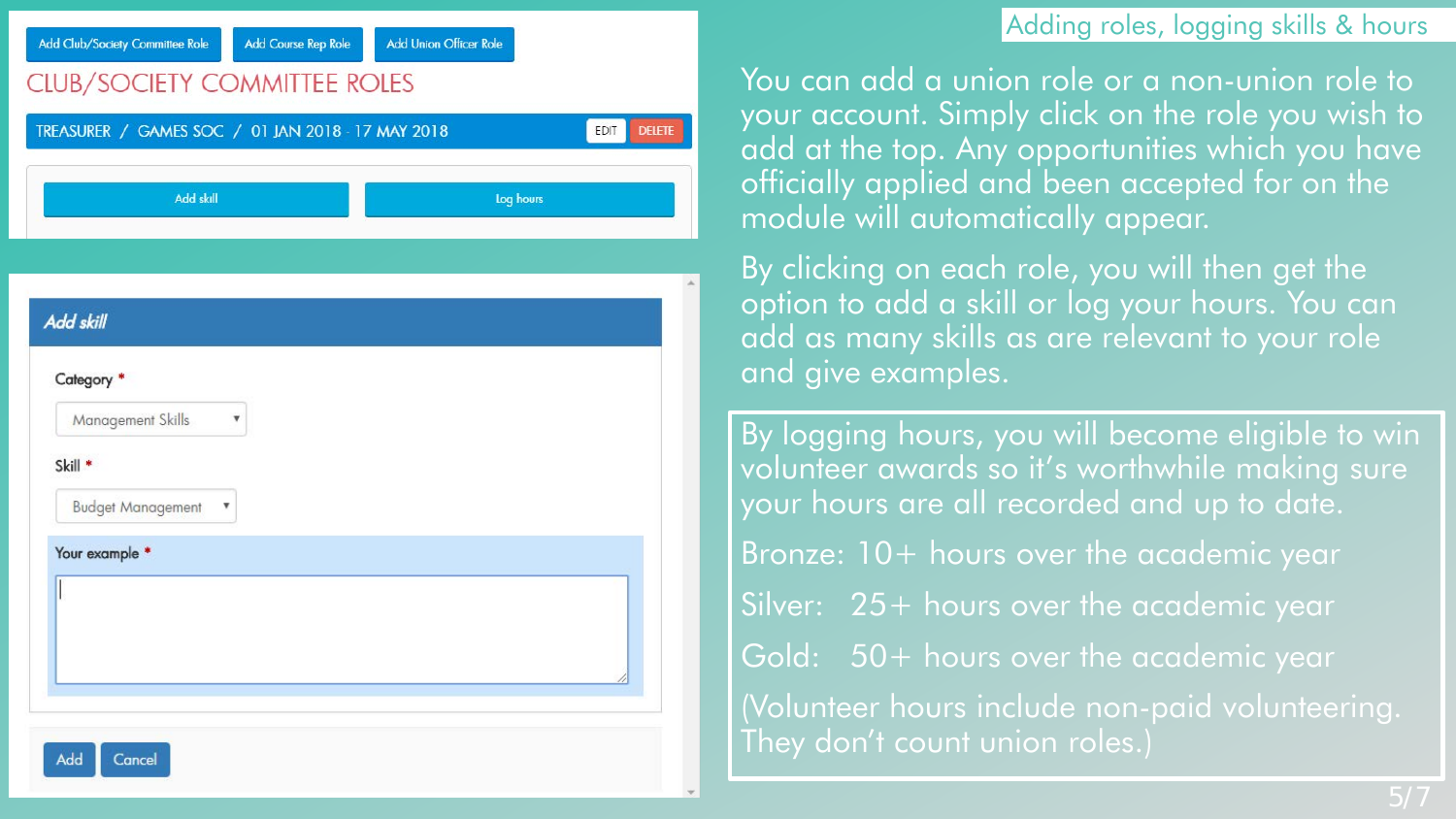## Adding roles, logging skills & hours

Add Club/Society Committee Role

**Add Union Officer Role Add Course Rep Role** 

# **CLUB/SOCIETY COMMITTEE ROLES**

| Add skill                     | Log hours |
|-------------------------------|-----------|
|                               |           |
|                               |           |
| <b>Add skill</b>              |           |
| Category <sup>*</sup>         |           |
| <b>Management Skills</b><br>۷ |           |
| Skill <sup>*</sup>            |           |
| <b>Budget Management</b><br>v |           |
| Your example *                |           |
|                               |           |
|                               |           |

You can add a union role or a non-union role to your account. Simply click on the role you wish to add at the top. Any opportunities which you have officially applied and been accepted for on the module will automatically appear.

By clicking on each role, you will then get the option to add a skill or log your hours. You can add as many skills as are relevant to your role and give examples.

By logging hours, you will become eligible to win volunteer awards so it's worthwhile making sure your hours are all recorded and up to date. Bronze: 10+ hours over the academic year Silver: 25+ hours over the academic year Gold: 50+ hours over the academic year (Volunteer hours include non-paid volunteering. They don't count union roles.)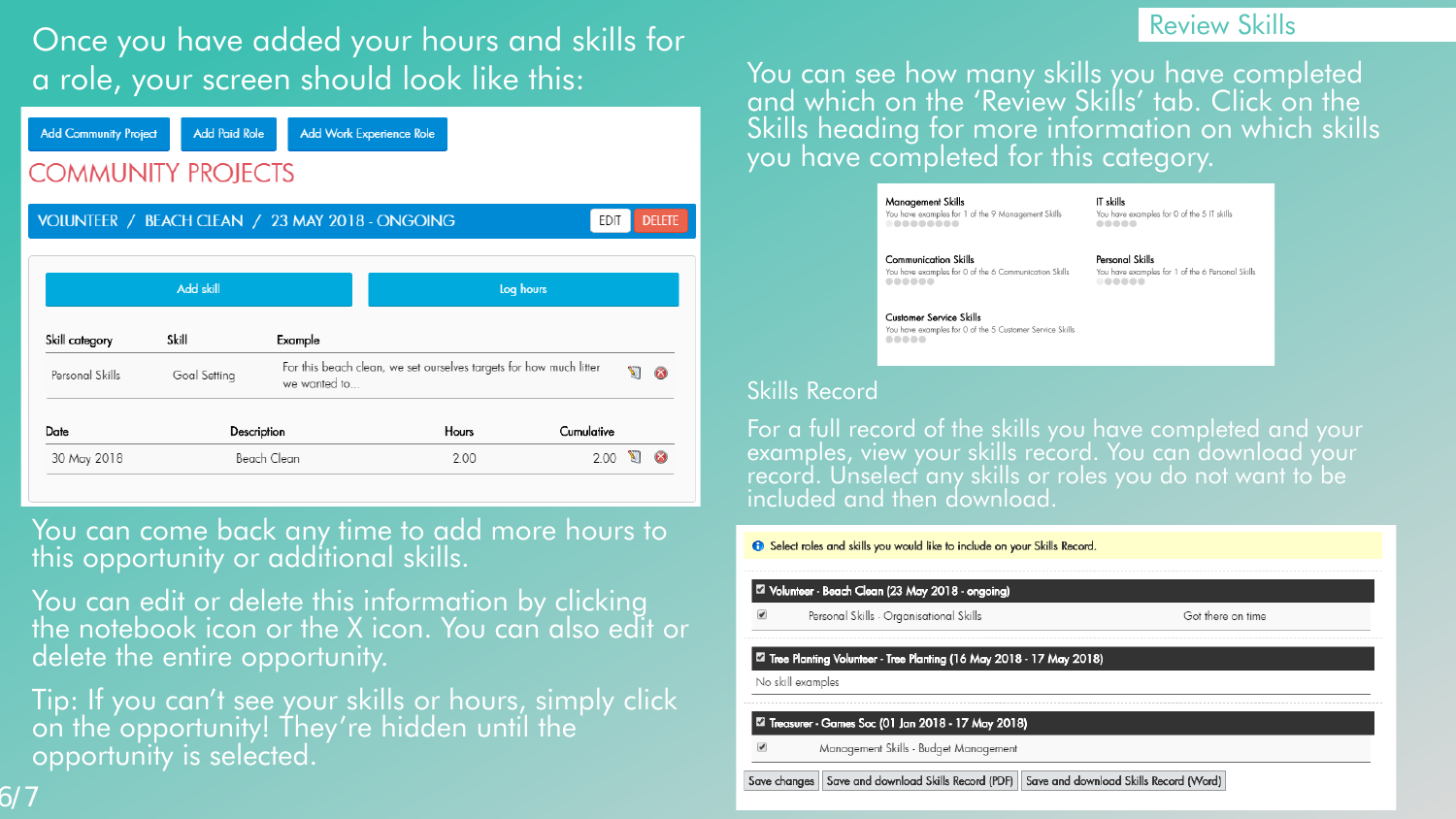# Once you have added your hours and skills for a role, your screen should look like this:



You can come back any time to add more hours to this opportunity or additional skills.

- You can edit or delete this information by clicking the notebook icon or the X icon. You can also edit or delete the entire opportunity.
- Tip: If you can't see your skills or hours, simply click on the opportunity! They're hidden until the opportunity is selected.

Review Skills

You can see how many skills you have completed and which on the 'Review Skills' tab. Click on the Skills heading for more information on which skills you have completed for this category.

| <b>Management Skills</b><br>You have examples for 1 of the 9 Management Skills<br>             | IT skills<br>You have examples for 0 of the 5 IT skills<br>             |
|------------------------------------------------------------------------------------------------|-------------------------------------------------------------------------|
| <b>Communication Skills</b><br>You have examples for 0 of the 6 Communication Skills<br>.      | Personal Skills<br>You have examples for 1 of the 6 Personal Skills<br> |
| <b>Customer Service Skills</b><br>You have examples for 0 of the 5 Customer Service Skills<br> |                                                                         |
|                                                                                                |                                                                         |

For a full record of the skills you have completed and your examples, view your skills record. You can download your record. Unselect any skills or roles you do not want to be included and then download.

**Skills Record** 

## Select roles and skills you would like to include on your Skills Record. Volunteer - Beach Clean (23 May 2018 - ongoing) Personal Skills - Organisational Skills Got there on time ⊠ Tree Planting Volunteer - Tree Planting (16 May 2018 - 17 May 2018) No skill examples Tal Treasurer - Games Soc (01 Jan 2018 - 17 May 2018) Management Skills - Budget Management

Save changes | Save and download Skills Record (PDF) | Save and download Skills Record (Word)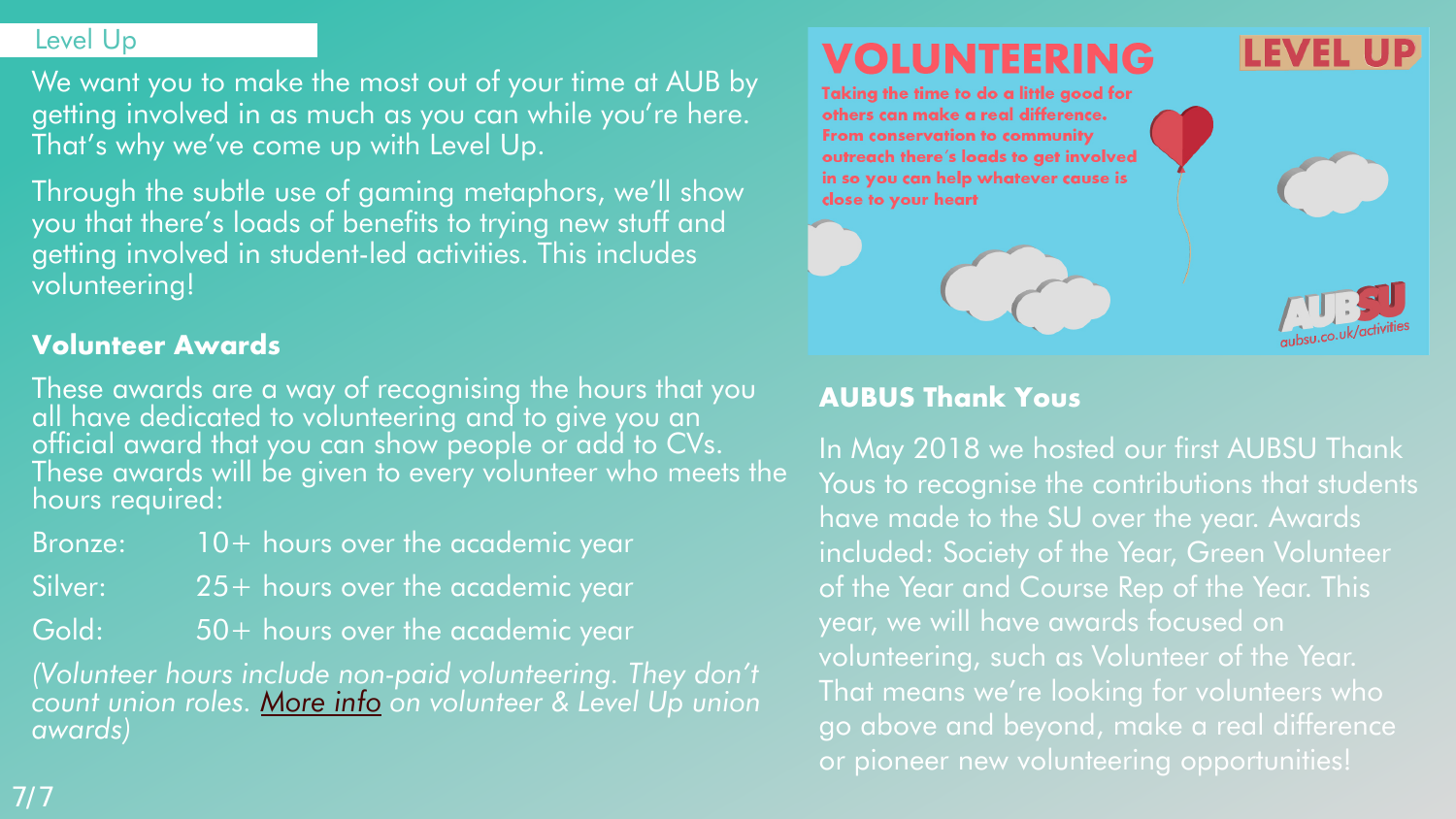## Level Up

We want you to make the most out of your time at AUB by getting involved in as much as you can while you're here. That's why we've come up with Level Up.

Through the subtle use of gaming metaphors, we'll show you that there's loads of benefits to trying new stuff and getting involved in student-led activities. This includes volunteering!

# **Volunteer Awards**

These awards are a way of recognising the hours that you<br>all have dedicated to volunteering and to give you an<br>official award that you can show people or add to CVs. These awards will be given to every volunteer who meets the hours required:

- Bronze: 10+ hours over the academic year
- Silver: 25+ hours over the academic year
- Gold: 50+ hours over the academic year

*(Volunteer hours include non-paid volunteering. They don't count union roles. [More info](https://www.aubsu.co.uk/community/volunteering/awards/) on volunteer & Level Up union awards)*

# TEERING

Taking the time to do a little good for others can make a real difference. From conservation to community outreach there's loads to get involved in so you can help whatever cause is close to your heart



# **AUBUS Thank Yous**

In May 2018 we hosted our first AUBSU Thank Yous to recognise the contributions that students have made to the SU over the year. Awards included: Society of the Year, Green Volunteer of the Year and Course Rep of the Year. This year, we will have awards focused on volunteering, such as Volunteer of the Year. That means we're looking for volunteers who go above and beyond, make a real difference or pioneer new volunteering opportunities!